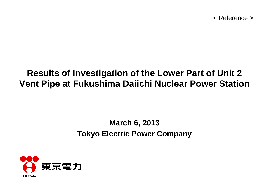< Reference >

## **Results of Investigation of the Lower Part of Unit 2 Vent Pipe at Fukushima Daiichi Nuclear Power Station**

## **March 6, 2013 Tokyo Electric Power Company**

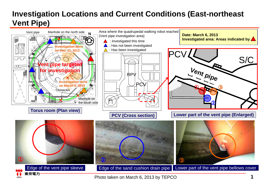## **Investigation Locations and Current Conditions (East-northeast Vent Pipe)**



Photo taken on March 6, 2013 by TEPCO